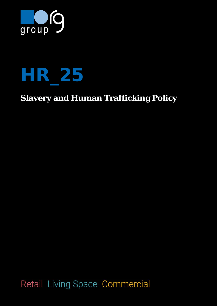



# **Slavery and Human Trafficking Policy**

Retail Living Space Commercial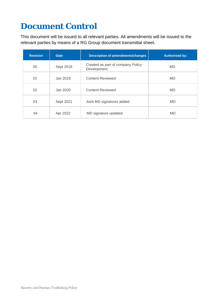# **Document Control**

This document will be issued to all relevant parties. All amendments will be issued to the relevant parties by means of a RG Group document transmittal sheet.

| <b>Revision</b> | Date      | <b>Description of amendments/changes</b>         | <b>Authorised by:</b> |
|-----------------|-----------|--------------------------------------------------|-----------------------|
| 00              | Sept 2018 | Created as part of company Policy<br>Development | <b>MD</b>             |
| 01              | Jan 2019  | <b>Content Reviewed</b>                          | <b>MD</b>             |
| 02              | Jan 2020  | <b>Content Reviewed</b>                          | <b>MD</b>             |
| 03              | Sept 2021 | Joint MD signatures added.                       | MD                    |
| 04              | Apr 2022  | MD signature updated.                            | <b>MD</b>             |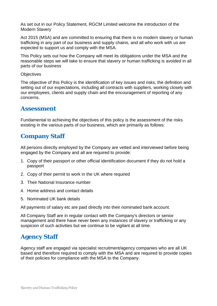As set out in our Policy Statement, RGCM Limited welcome the introduction of the Modern Slavery

Act 2015 (MSA) and are committed to ensuring that there is no modern slavery or human trafficking in any part of our business and supply chains, and all who work with us are expected to support us and comply with the MSA.

This Policy sets out how the Company will meet its obligations under the MSA and the reasonable steps we will take to ensure that slavery or human trafficking is avoided in all parts of our business

**Objectives** 

The objective of this Policy is the identification of key issues and risks, the definition and setting out of our expectations, including all contracts with suppliers, working closely with our employees, clients and supply chain and the encouragement of reporting of any concerns.

### **Assessment**

Fundamental to achieving the objectives of this policy is the assessment of the risks existing in the various parts of our business, which are primarily as follows:

# **Company Staff**

All persons directly employed by the Company are vetted and interviewed before being engaged by the Company and all are required to provide:

- 1. Copy of their passport or other official identification document if they do not hold a passport
- 2. Copy of their permit to work in the UK where required
- 3. Their National Insurance number
- 4. Home address and contact details
- 5. Nominated UK bank details

All payments of salary etc are paid directly into their nominated bank account.

All Company Staff are in regular contact with the Company's directors or senior management and there have never been any instances of slavery or trafficking or any suspicion of such activities but we continue to be vigilant at all time.

# **Agency Staff**

Agency staff are engaged via specialist recruitment/agency companies who are all UK based and therefore required to comply with the MSA and are required to provide copies of their policies for compliance with the MSA to the Company.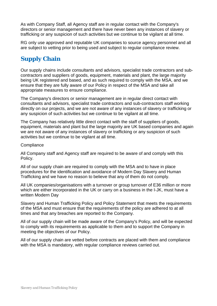As with Company Staff, all Agency staff are in regular contact with the Company's directors or senior management and there have never been any instances of slavery or trafficking or any suspicion of such activities but we continue to be vigilant at all time.

RG only use approved and reputable UK companies to source agency personnel and all are subject to vetting prior to being used and subject to regular compliance review.

# **Supply Chain**

Our supply chains include consultants and advisors, specialist trade contractors and subcontractors and suppliers of goods, equipment, materials and plant, the large majority being UK registered and based, and as such required to comply with the MSA, and we ensure that they are fully aware of our Policy in respect of the MSA and take all appropriate measures to ensure compliance.

The Company's directors or senior management are in regular direct contact with consultants and advisors, specialist trade contractors and sub-contractors staff working directly on our projects, and we are not aware of any instances of slavery or trafficking or any suspicion of such activities but we continue to be vigilant at all time.

The Company has relatively little direct contact with the staff of suppliers of goods, equipment, materials and plant but the large majority are UK based companies and again we are not aware of any instances of slavery or trafficking or any suspicion of such activities but we continue to be vigilant at all time.

#### **Compliance**

All Company staff and Agency staff are required to be aware of and comply with this Policy.

All of our supply chain are required to comply with the MSA and to have in place procedures for the identification and avoidance of Modern Day Slavery and Human Trafficking and we have no reason to believe that any of them do not comply.

All UK companies/organisations with a turnover or group turnover of E36 million or more which are either incorporated in the UK or carry on a business in the I-JK, must have a written Modern Day

Slavery and Human Trafficking Policy and Policy Statement that meets the requirements of the MSA and must ensure that the requirements of the policy are adhered to at all times and that any breaches are reported to the Company.

All of our supply chain will be made aware of the Company's Policy, and will be expected to comply with its requirements as applicable to them and to support the Company in meeting the objectives of our Policy.

All of our supply chain are vetted before contracts are placed with them and compliance with the MSA is mandatory, with regular compliance reviews carried out.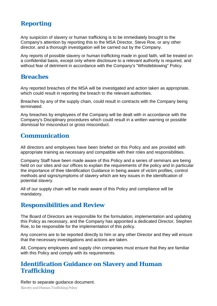# **Reporting**

Any suspicion of slavery or human trafficking is to be immediately brought to the Company's attention by reporting this to the MSA Director, Steve Roe, or any other director, and a thorough investigation will be carried out by the Company.

Any reports of possible slavery or human trafficking made in good faith, will be treated on a confidential basis, except only where disclosure to a relevant authority is required, and without fear of detriment in accordance with the Company's "Whistleblowing" Policy.

## **Breaches**

Any reported breaches of the MSA will be investigated and action taken as appropriate, which could result in reporting the breach to the relevant authorities.

Breaches by any of the supply chain, could result in contracts with the Company being terminated.

Any breaches by employees of the Company will be dealt with in accordance with the Company's Disciplinary procedures which could result in a written warning or possible dismissal for misconduct or gross misconduct.

## **Communication**

All directors and employees have been briefed on this Policy and are provided with appropriate training as necessary and compatible with their roles and responsibilities.

Company Staff have been made aware of this Policy and a series of seminars are being held on our sites and our offices to explain the requirements of the policy and in particular the importance of thee Identification Guidance in being aware of victim profiles, control methods and signs/symptoms of slavery which are key issues in the identification of potential slavery.

All of our supply chain will be made aware of this Policy and compliance will be mandatory.

## **Responsibilities and Review**

The Board of Directors are responsible for the formulation, implementation and updating this Policy as necessary, and the Company has appointed a dedicated Director, Stephen Roe, to be responsible for the implementation of this policy.

Any concerns are to be reported directly to him or any other Director and they will ensure that the necessary investigations and actions are taken.

All, Company employees and supply chin companies must ensure that they are familiar with this Policy and comply with its requirements.

## **Identification Guidance on Slavery and Human Trafficking**

Refer to separate guidance document.

*Slavery and Human Trafficking Policy*